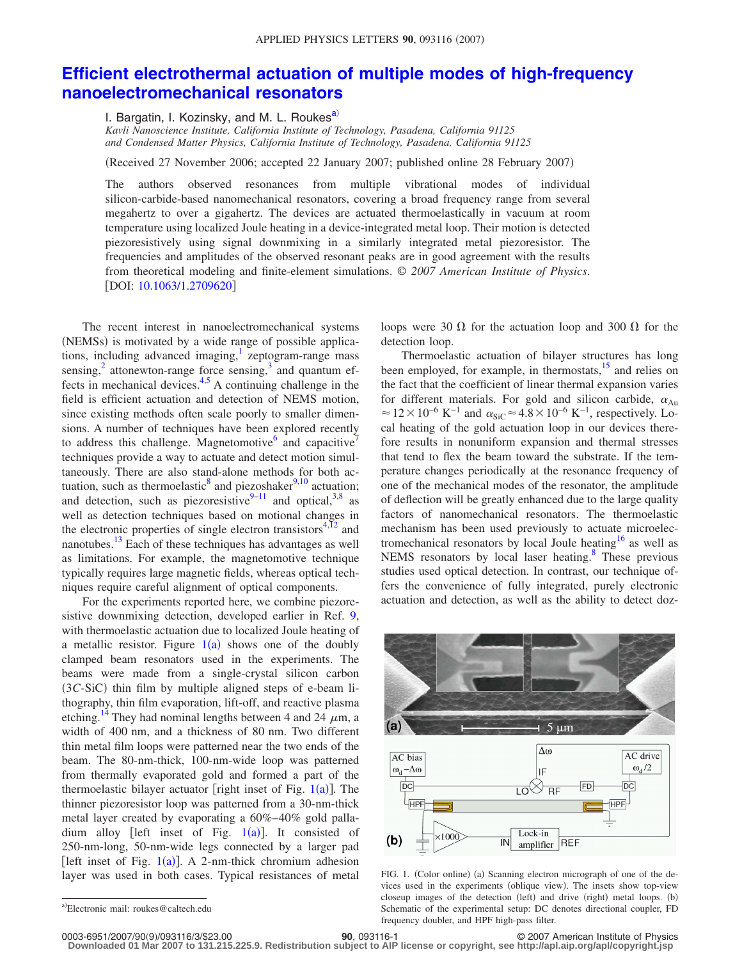## **[Efficient electrothermal actuation of multiple modes of high-frequency](http://dx.doi.org/10.1063/1.2709620) [nanoelectromechanical resonators](http://dx.doi.org/10.1063/1.2709620)**

I. Bargatin, I. Kozinsky, and M. L. Roukes<sup>a)</sup>

*Kavli Nanoscience Institute, California Institute of Technology, Pasadena, California 91125 and Condensed Matter Physics, California Institute of Technology, Pasadena, California 91125*

(Received 27 November 2006; accepted 22 January 2007; published online 28 February 2007)

The authors observed resonances from multiple vibrational modes of individual silicon-carbide-based nanomechanical resonators, covering a broad frequency range from several megahertz to over a gigahertz. The devices are actuated thermoelastically in vacuum at room temperature using localized Joule heating in a device-integrated metal loop. Their motion is detected piezoresistively using signal downmixing in a similarly integrated metal piezoresistor. The frequencies and amplitudes of the observed resonant peaks are in good agreement with the results from theoretical modeling and finite-element simulations. © *2007 American Institute of Physics*. [DOI: [10.1063/1.2709620](http://dx.doi.org/10.1063/1.2709620)]

The recent interest in nanoelectromechanical systems (NEMSs) is motivated by a wide range of possible applications, including advanced imaging, $\frac{1}{2}$  zeptogram-range mass sensing, $^{2}$  attonewton-range force sensing, $^{3}$  and quantum effects in mechanical devices. $4,5$  $4,5$  A continuing challenge in the field is efficient actuation and detection of NEMS motion, since existing methods often scale poorly to smaller dimensions. A number of techniques have been explored recently to address this challenge. Magnetomotive $<sup>6</sup>$  and capacitive<sup>7</sup></sup> techniques provide a way to actuate and detect motion simultaneously. There are also stand-alone methods for both ac-tuation, such as thermoelastic<sup>8</sup> and piezoshaker<sup>9[,10](#page-2-9)</sup> actuation; and detection, such as piezoresistive $9-11$  and optical, 3,[8](#page-2-7) as well as detection techniques based on motional changes in the electronic properties of single electron transistors $4,12$  $4,12$  and nanotubes.<sup>13</sup> Each of these techniques has advantages as well as limitations. For example, the magnetomotive technique typically requires large magnetic fields, whereas optical techniques require careful alignment of optical components.

For the experiments reported here, we combine piezoresistive downmixing detection, developed earlier in Ref. [9,](#page-2-8) with thermoelastic actuation due to localized Joule heating of a metallic resistor. Figure  $1(a)$  $1(a)$  shows one of the doubly clamped beam resonators used in the experiments. The beams were made from a single-crystal silicon carbon (3C-SiC) thin film by multiple aligned steps of e-beam lithography, thin film evaporation, lift-off, and reactive plasma etching.<sup>14</sup> They had nominal lengths between 4 and 24  $\mu$ m, a width of 400 nm, and a thickness of 80 nm. Two different thin metal film loops were patterned near the two ends of the beam. The 80-nm-thick, 100-nm-wide loop was patterned from thermally evaporated gold and formed a part of the thermoelastic bilayer actuator [right inset of Fig.  $1(a)$  $1(a)$ ]. The thinner piezoresistor loop was patterned from a 30-nm-thick metal layer created by evaporating a 60%–40% gold palladium alloy [left inset of Fig.  $1(a)$  $1(a)$ ]. It consisted of 250-nm-long, 50-nm-wide legs connected by a larger pad [left inset of Fig.  $1(a)$  $1(a)$ ]. A 2-nm-thick chromium adhesion layer was used in both cases. Typical resistances of metal

loops were 30  $\Omega$  for the actuation loop and 300  $\Omega$  for the detection loop.

Thermoelastic actuation of bilayer structures has long been employed, for example, in thermostats, $15$  and relies on the fact that the coefficient of linear thermal expansion varies for different materials. For gold and silicon carbide,  $\alpha_{Au}$  $\approx$  12 × 10<sup>-6</sup> K<sup>-1</sup> and  $\alpha_{\text{SiC}}$  ≈ 4.8 × 10<sup>-6</sup> K<sup>-1</sup>, respectively. Local heating of the gold actuation loop in our devices therefore results in nonuniform expansion and thermal stresses that tend to flex the beam toward the substrate. If the temperature changes periodically at the resonance frequency of one of the mechanical modes of the resonator, the amplitude of deflection will be greatly enhanced due to the large quality factors of nanomechanical resonators. The thermoelastic mechanism has been used previously to actuate microelectromechanical resonators by local Joule heating<sup>16</sup> as well as NEMS resonators by local laser heating. $8$  These previous studies used optical detection. In contrast, our technique offers the convenience of fully integrated, purely electronic actuation and detection, as well as the ability to detect doz-

<span id="page-0-1"></span>

FIG. 1. (Color online) (a) Scanning electron micrograph of one of the devices used in the experiments (oblique view). The insets show top-view closeup images of the detection (left) and drive (right) metal loops. (b) Schematic of the experimental setup: DC denotes directional coupler, FD frequency doubler, and HPF high-pass filter.

0003-6951/2007/90(9)/093116/3/\$23.00

9/093116/3/\$23.00 © 2007 American Institute of Physics **90**, 093116-1 **Downloaded 01 Mar 2007 to 131.215.225.9. Redistribution subject to AIP license or copyright, see http://apl.aip.org/apl/copyright.jsp**

<span id="page-0-0"></span>a)Electronic mail: roukes@caltech.edu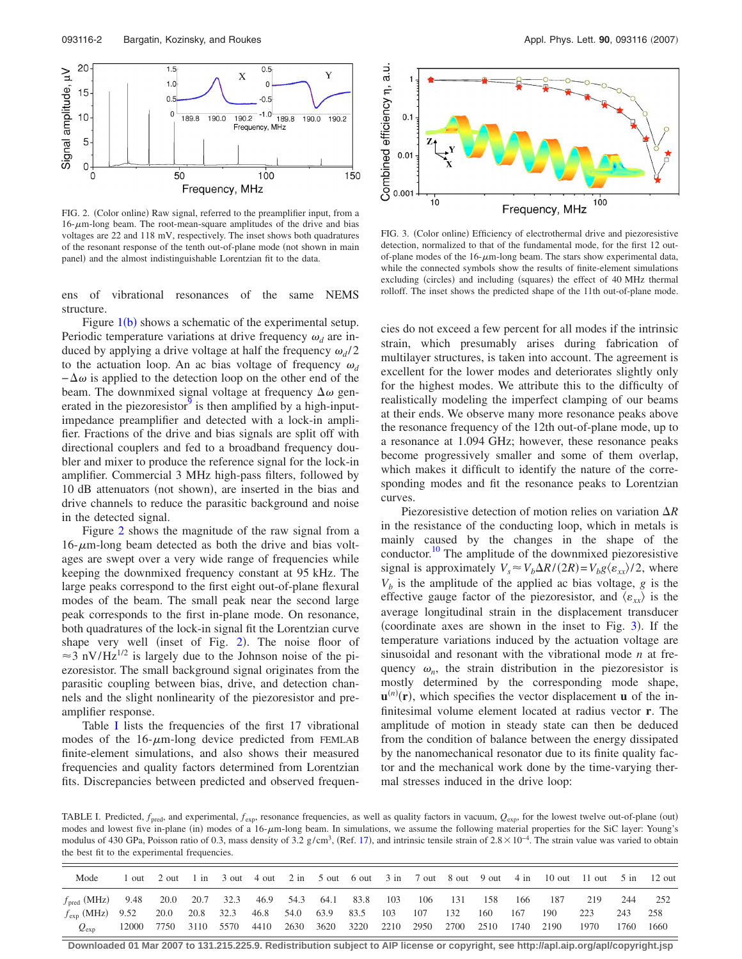<span id="page-1-0"></span>

FIG. 2. (Color online) Raw signal, referred to the preamplifier input, from a  $16-\mu$ m-long beam. The root-mean-square amplitudes of the drive and bias voltages are 22 and 118 mV, respectively. The inset shows both quadratures of the resonant response of the tenth out-of-plane mode (not shown in main panel) and the almost indistinguishable Lorentzian fit to the data.

ens of vibrational resonances of the same NEMS structure.

Figure  $1(b)$  $1(b)$  shows a schematic of the experimental setup. Periodic temperature variations at drive frequency  $\omega_d$  are induced by applying a drive voltage at half the frequency  $\omega_d/2$ to the actuation loop. An ac bias voltage of frequency  $\omega_d$  $-\Delta\omega$  is applied to the detection loop on the other end of the beam. The downmixed signal voltage at frequency  $\Delta\omega$  generated in the piezoresistor<sup>9</sup> is then amplified by a high-inputimpedance preamplifier and detected with a lock-in amplifier. Fractions of the drive and bias signals are split off with directional couplers and fed to a broadband frequency doubler and mixer to produce the reference signal for the lock-in amplifier. Commercial 3 MHz high-pass filters, followed by 10 dB attenuators (not shown), are inserted in the bias and drive channels to reduce the parasitic background and noise in the detected signal.

Figure [2](#page-1-0) shows the magnitude of the raw signal from a  $16-\mu m$ -long beam detected as both the drive and bias voltages are swept over a very wide range of frequencies while keeping the downmixed frequency constant at 95 kHz. The large peaks correspond to the first eight out-of-plane flexural modes of the beam. The small peak near the second large peak corresponds to the first in-plane mode. On resonance, both quadratures of the lock-in signal fit the Lorentzian curve shape very well (inset of Fig. [2](#page-1-0)). The noise floor of  $\approx$  3 nV/Hz<sup>1/2</sup> is largely due to the Johnson noise of the piezoresistor. The small background signal originates from the parasitic coupling between bias, drive, and detection channels and the slight nonlinearity of the piezoresistor and preamplifier response.

Table [I](#page-1-1) lists the frequencies of the first 17 vibrational modes of the  $16-\mu$ m-long device predicted from FEMLAB finite-element simulations, and also shows their measured frequencies and quality factors determined from Lorentzian fits. Discrepancies between predicted and observed frequen-

<span id="page-1-2"></span>

FIG. 3. (Color online) Efficiency of electrothermal drive and piezoresistive detection, normalized to that of the fundamental mode, for the first 12 outof-plane modes of the  $16$ - $\mu$ m-long beam. The stars show experimental data, while the connected symbols show the results of finite-element simulations excluding (circles) and including (squares) the effect of 40 MHz thermal rolloff. The inset shows the predicted shape of the 11th out-of-plane mode.

cies do not exceed a few percent for all modes if the intrinsic strain, which presumably arises during fabrication of multilayer structures, is taken into account. The agreement is excellent for the lower modes and deteriorates slightly only for the highest modes. We attribute this to the difficulty of realistically modeling the imperfect clamping of our beams at their ends. We observe many more resonance peaks above the resonance frequency of the 12th out-of-plane mode, up to a resonance at 1.094 GHz; however, these resonance peaks become progressively smaller and some of them overlap, which makes it difficult to identify the nature of the corresponding modes and fit the resonance peaks to Lorentzian curves.

Piezoresistive detection of motion relies on variation  $\Delta R$ in the resistance of the conducting loop, which in metals is mainly caused by the changes in the shape of the conductor.<sup>10</sup> The amplitude of the downmixed piezoresistive signal is approximately  $V_s \approx V_b \Delta R/(2R) = V_b g \langle \varepsilon_{xx} \rangle / 2$ , where  $V_b$  is the amplitude of the applied ac bias voltage,  $g$  is the effective gauge factor of the piezoresistor, and  $\langle \varepsilon_{xx} \rangle$  is the average longitudinal strain in the displacement transducer (coordinate axes are shown in the inset to Fig.  $3$ ). If the temperature variations induced by the actuation voltage are sinusoidal and resonant with the vibrational mode *n* at frequency  $\omega_n$ , the strain distribution in the piezoresistor is mostly determined by the corresponding mode shape,  $\mathbf{u}^{(n)}(\mathbf{r})$ , which specifies the vector displacement **u** of the infinitesimal volume element located at radius vector **r**. The amplitude of motion in steady state can then be deduced from the condition of balance between the energy dissipated by the nanomechanical resonator due to its finite quality factor and the mechanical work done by the time-varying thermal stresses induced in the drive loop:

<span id="page-1-1"></span>TABLE I. Predicted,  $f_{pred}$ , and experimental,  $f_{exp}$ , resonance frequencies, as well as quality factors in vacuum,  $Q_{exp}$ , for the lowest twelve out-of-plane (out) modes and lowest five in-plane (in) modes of a 16- $\mu$ m-long beam. In simulations, we assume the following material properties for the SiC layer: Young's modulus of 430 GPa, Poisson ratio of 0.3, mass density of 3.2  $g/cm<sup>3</sup>$ , (Ref. [17](#page-2-16)), and intrinsic tensile strain of 2.8×10<sup>-4</sup>. The strain value was varied to obtain the best fit to the experimental frequencies.

| Mode                                                                        |      |  |  |                                                              |  |         |         |      | 1 out 2 out 1 in 3 out 4 out 2 in 5 out 6 out 3 in 7 out 8 out 9 out 4 in 10 out 11 out 5 in 12 out |      |      |        |
|-----------------------------------------------------------------------------|------|--|--|--------------------------------------------------------------|--|---------|---------|------|-----------------------------------------------------------------------------------------------------|------|------|--------|
| $f_{\text{pred}}$ (MHz) 9.48 20.0 20.7 32.3 46.9 54.3 64.1 83.8 103 106 131 |      |  |  |                                                              |  |         | 158     |      | 166 187                                                                                             | 219  | 244  | 252    |
| $f_{\rm exp}$ (MHz) 9.52                                                    | 20.0 |  |  | 20.8 32.3 46.8 54.0 63.9 83.5 103                            |  | 107 132 | 160 167 |      | 190                                                                                                 | 223  | 243  | 258    |
| $Q_{\rm exp}$                                                               |      |  |  | 12000 7750 3110 5570 4410 2630 3620 3220 2210 2950 2700 2510 |  |         |         | 1740 | 2190                                                                                                | 1970 | 1760 | - 1660 |

**Downloaded 01 Mar 2007 to 131.215.225.9. Redistribution subject to AIP license or copyright, see http://apl.aip.org/apl/copyright.jsp**